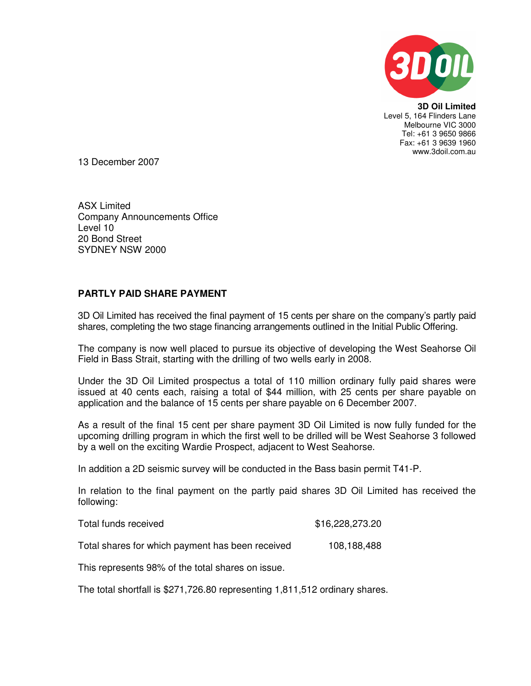

**3D Oil Limited**  Level 5, 164 Flinders Lane Melbourne VIC 3000 Tel: +61 3 9650 9866 Fax: +61 3 9639 1960 www.3doil.com.au

13 December 2007

ASX Limited Company Announcements Office Level 10 20 Bond Street SYDNEY NSW 2000

## **PARTLY PAID SHARE PAYMENT**

3D Oil Limited has received the final payment of 15 cents per share on the company's partly paid shares, completing the two stage financing arrangements outlined in the Initial Public Offering.

The company is now well placed to pursue its objective of developing the West Seahorse Oil Field in Bass Strait, starting with the drilling of two wells early in 2008.

Under the 3D Oil Limited prospectus a total of 110 million ordinary fully paid shares were issued at 40 cents each, raising a total of \$44 million, with 25 cents per share payable on application and the balance of 15 cents per share payable on 6 December 2007.

As a result of the final 15 cent per share payment 3D Oil Limited is now fully funded for the upcoming drilling program in which the first well to be drilled will be West Seahorse 3 followed by a well on the exciting Wardie Prospect, adjacent to West Seahorse.

In addition a 2D seismic survey will be conducted in the Bass basin permit T41-P.

In relation to the final payment on the partly paid shares 3D Oil Limited has received the following:

| Total funds received                             | \$16,228,273.20 |
|--------------------------------------------------|-----------------|
| Total shares for which payment has been received | 108,188,488     |

This represents 98% of the total shares on issue.

The total shortfall is \$271,726.80 representing 1,811,512 ordinary shares.